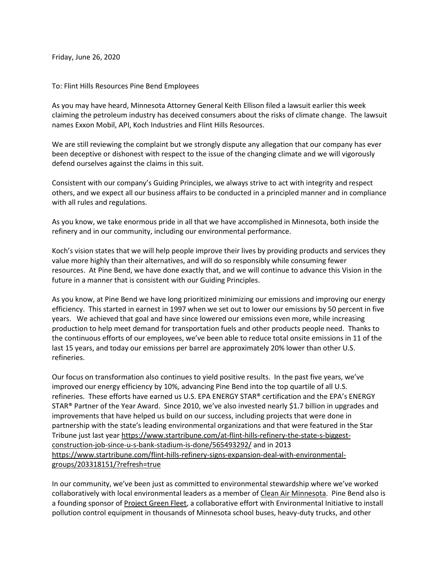Friday, June 26, 2020

To: Flint Hills Resources Pine Bend Employees

As you may have heard, Minnesota Attorney General Keith Ellison filed a lawsuit earlier this week claiming the petroleum industry has deceived consumers about the risks of climate change. The lawsuit names Exxon Mobil, API, Koch Industries and Flint Hills Resources.

We are still reviewing the complaint but we strongly dispute any allegation that our company has ever been deceptive or dishonest with respect to the issue of the changing climate and we will vigorously defend ourselves against the claims in this suit.

Consistent with our company's Guiding Principles, we always strive to act with integrity and respect others, and we expect all our business affairs to be conducted in a principled manner and in compliance with all rules and regulations.

As you know, we take enormous pride in all that we have accomplished in Minnesota, both inside the refinery and in our community, including our environmental performance.

Koch's vision states that we will help people improve their lives by providing products and services they value more highly than their alternatives, and will do so responsibly while consuming fewer resources. At Pine Bend, we have done exactly that, and we will continue to advance this Vision in the future in a manner that is consistent with our Guiding Principles.

As you know, at Pine Bend we have long prioritized minimizing our emissions and improving our energy efficiency. This started in earnest in 1997 when we set out to lower our emissions by 50 percent in five years. We achieved that goal and have since lowered our emissions even more, while increasing production to help meet demand for transportation fuels and other products people need. Thanks to the continuous efforts of our employees, we've been able to reduce total onsite emissions in 11 of the last 15 years, and today our emissions per barrel are approximately 20% lower than other U.S. refineries.

Our focus on transformation also continues to yield positive results. In the past five years, we've improved our energy efficiency by 10%, advancing Pine Bend into the top quartile of all U.S. refineries. These efforts have earned us U.S. EPA ENERGY STAR® certification and the EPA's ENERGY STAR® Partner of the Year Award. Since 2010, we've also invested nearly \$1.7 billion in upgrades and improvements that have helped us build on our success, including projects that were done in partnership with the state's leading environmental organizations and that were featured in the Star Tribune just last year [https://www.startribune.com/at-flint-hills-refinery-the-state-s-biggest](https://www.startribune.com/at-flint-hills-refinery-the-state-s-biggest-construction-job-since-u-s-bank-stadium-is-done/565493292/)[construction-job-since-u-s-bank-stadium-is-done/565493292/](https://www.startribune.com/at-flint-hills-refinery-the-state-s-biggest-construction-job-since-u-s-bank-stadium-is-done/565493292/) and in 2013 [https://www.startribune.com/flint-hills-refinery-signs-expansion-deal-with-environmental](https://www.startribune.com/flint-hills-refinery-signs-expansion-deal-with-environmental-groups/203318151/?refresh=true)[groups/203318151/?refresh=true](https://www.startribune.com/flint-hills-refinery-signs-expansion-deal-with-environmental-groups/203318151/?refresh=true)

In our community, we've been just as committed to environmental stewardship where we've worked collaboratively with local environmental leaders as a member of [Clean Air Minnesota.](https://environmental-initiative.org/work/clean-air-minnesota/) Pine Bend also is a founding sponsor of [Project Green Fleet,](https://environmental-initiative.org/work/project-green-fleet/) a collaborative effort with Environmental Initiative to install pollution control equipment in thousands of Minnesota school buses, heavy-duty trucks, and other